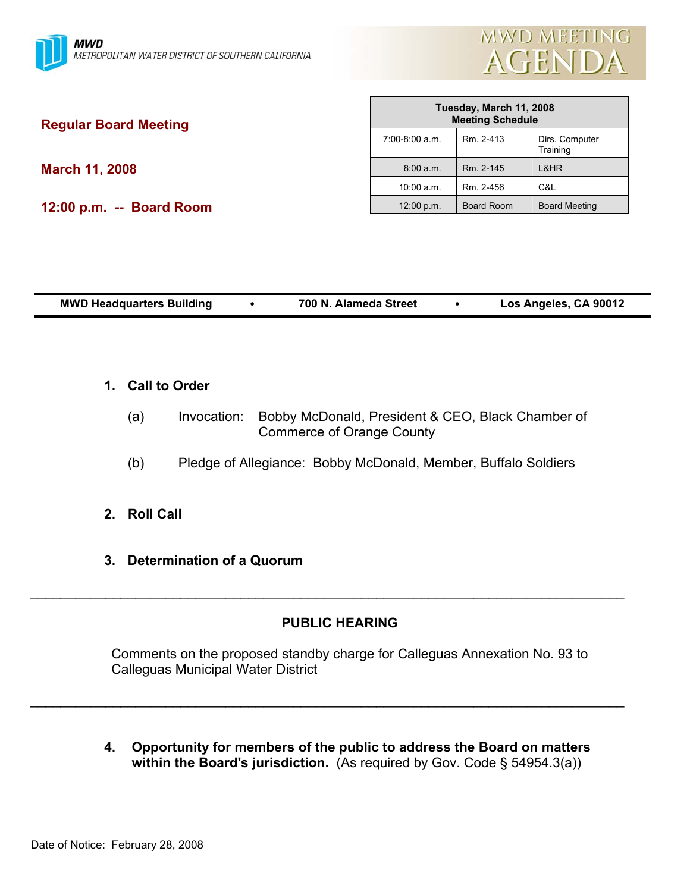

| <b>Regular Board Meeting</b> | Tuesday, March 11, 2008<br><b>Meeting Schedule</b> |            |                            |
|------------------------------|----------------------------------------------------|------------|----------------------------|
|                              | 7:00-8:00 a.m.                                     | Rm. 2-413  | Dirs. Computer<br>Training |
| <b>March 11, 2008</b>        | 8:00 a.m.                                          | Rm. 2-145  | L&HR                       |
|                              | $10:00$ a.m.                                       | Rm. 2-456  | C&L                        |
| 12:00 p.m. -- Board Room     | 12:00 p.m.                                         | Board Room | <b>Board Meeting</b>       |
|                              |                                                    |            |                            |

г

| <b>MWD Headquarters Building</b> |  | 700 N. Alameda Street |  | Los Angeles, CA 90012 |
|----------------------------------|--|-----------------------|--|-----------------------|
|----------------------------------|--|-----------------------|--|-----------------------|

### **1. Call to Order**

- (a) Invocation: Bobby McDonald, President & CEO, Black Chamber of Commerce of Orange County
- (b) Pledge of Allegiance: Bobby McDonald, Member, Buffalo Soldiers
- **2. Roll Call**
- **3. Determination of a Quorum**

# **PUBLIC HEARING**

\_\_\_\_\_\_\_\_\_\_\_\_\_\_\_\_\_\_\_\_\_\_\_\_\_\_\_\_\_\_\_\_\_\_\_\_\_\_\_\_\_\_\_\_\_\_\_\_\_\_\_\_\_\_\_\_\_\_\_\_\_\_\_\_\_\_\_\_\_\_\_\_\_\_\_\_\_\_\_

\_\_\_\_\_\_\_\_\_\_\_\_\_\_\_\_\_\_\_\_\_\_\_\_\_\_\_\_\_\_\_\_\_\_\_\_\_\_\_\_\_\_\_\_\_\_\_\_\_\_\_\_\_\_\_\_\_\_\_\_\_\_\_\_\_\_\_\_\_\_\_\_\_\_\_\_\_\_\_

Comments on the proposed standby charge for Calleguas Annexation No. 93 to Calleguas Municipal Water District

**4. Opportunity for members of the public to address the Board on matters within the Board's jurisdiction.** (As required by Gov. Code § 54954.3(a))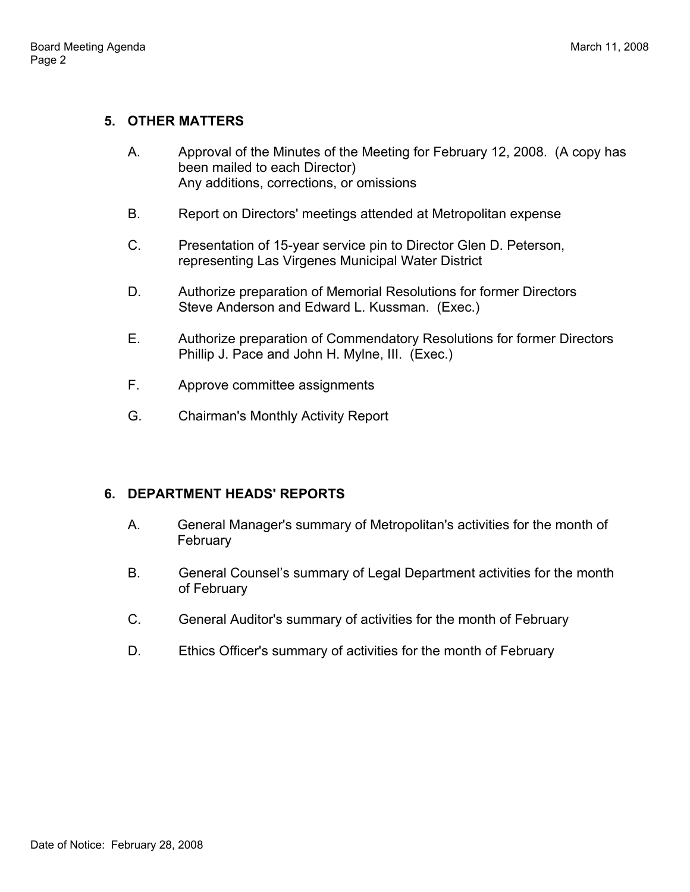# **5. OTHER MATTERS**

- A. Approval of the Minutes of the Meeting for February 12, 2008. (A copy has been mailed to each Director) Any additions, corrections, or omissions
- B. Report on Directors' meetings attended at Metropolitan expense
- C. Presentation of 15-year service pin to Director Glen D. Peterson, representing Las Virgenes Municipal Water District
- D. Authorize preparation of Memorial Resolutions for former Directors Steve Anderson and Edward L. Kussman. (Exec.)
- E. Authorize preparation of Commendatory Resolutions for former Directors Phillip J. Pace and John H. Mylne, III. (Exec.)
- F. Approve committee assignments
- G. Chairman's Monthly Activity Report

# **6. DEPARTMENT HEADS' REPORTS**

- A. General Manager's summary of Metropolitan's activities for the month of **February**
- B. General Counsel's summary of Legal Department activities for the month of February
- C. General Auditor's summary of activities for the month of February
- D. Ethics Officer's summary of activities for the month of February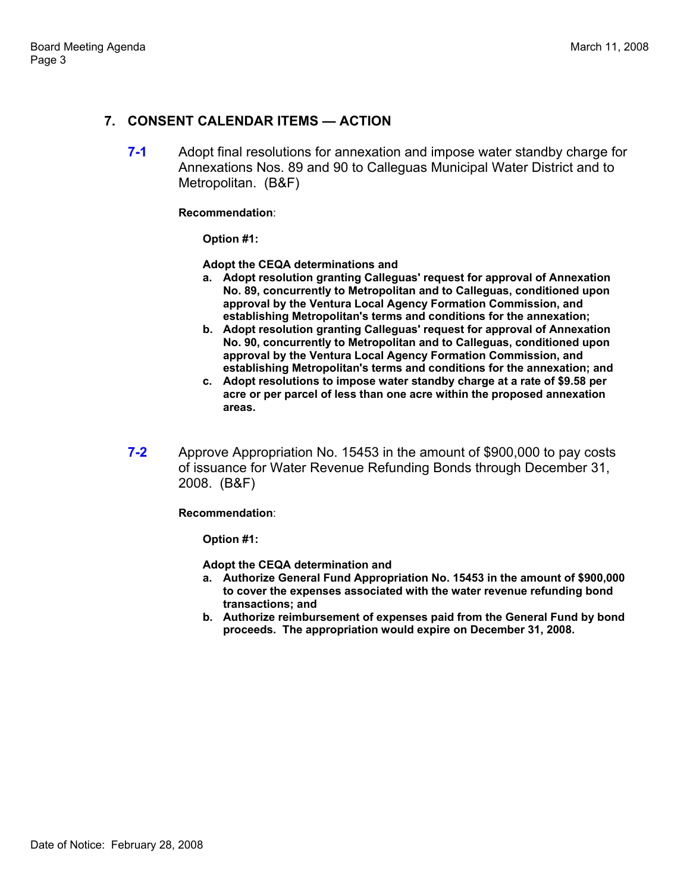# **7. CONSENT CALENDAR ITEMS — ACTION**

**7-1** Adopt final resolutions for annexation and impose water standby charge for Annexations Nos. 89 and 90 to Calleguas Municipal Water District and to Metropolitan. (B&F)

#### **Recommendation**:

**Option #1:** 

**Adopt the CEQA determinations and** 

- **a. Adopt resolution granting Calleguas' request for approval of Annexation No. 89, concurrently to Metropolitan and to Calleguas, conditioned upon approval by the Ventura Local Agency Formation Commission, and establishing Metropolitan's terms and conditions for the annexation;**
- **b. Adopt resolution granting Calleguas' request for approval of Annexation No. 90, concurrently to Metropolitan and to Calleguas, conditioned upon approval by the Ventura Local Agency Formation Commission, and establishing Metropolitan's terms and conditions for the annexation; and**
- **c. Adopt resolutions to impose water standby charge at a rate of \$9.58 per acre or per parcel of less than one acre within the proposed annexation areas.**
- **7-2** Approve Appropriation No. 15453 in the amount of \$900,000 to pay costs of issuance for Water Revenue Refunding Bonds through December 31, 2008. (B&F)

**Recommendation**:

**Option #1:** 

**Adopt the CEQA determination and** 

- **a. Authorize General Fund Appropriation No. 15453 in the amount of \$900,000 to cover the expenses associated with the water revenue refunding bond transactions; and**
- **b. Authorize reimbursement of expenses paid from the General Fund by bond proceeds. The appropriation would expire on December 31, 2008.**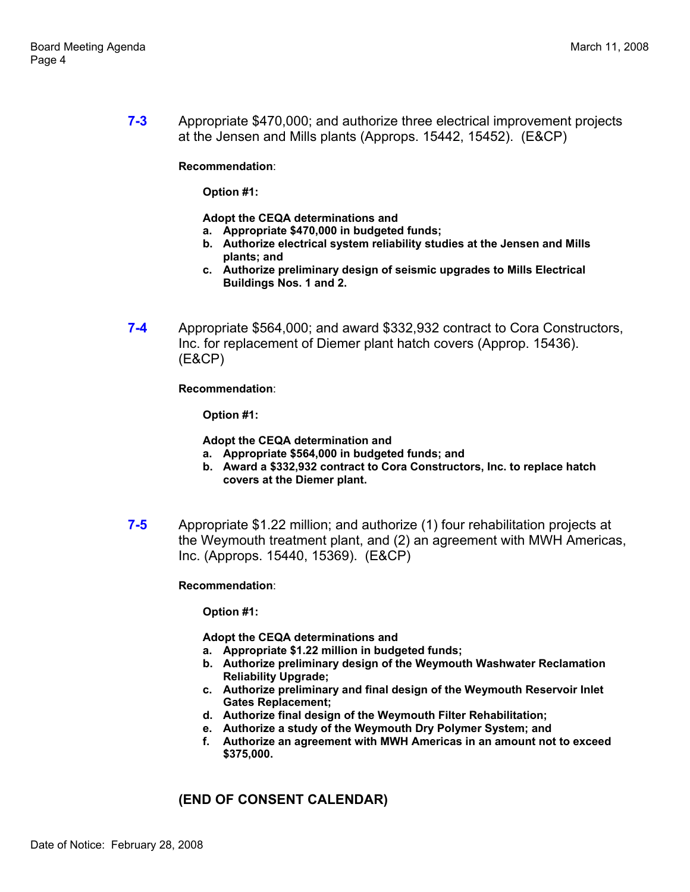**7-3** Appropriate \$470,000; and authorize three electrical improvement projects at the Jensen and Mills plants (Approps. 15442, 15452). (E&CP)

**Recommendation**:

**Option #1:** 

**Adopt the CEQA determinations and** 

- **a. Appropriate \$470,000 in budgeted funds;**
- **b. Authorize electrical system reliability studies at the Jensen and Mills plants; and**
- **c. Authorize preliminary design of seismic upgrades to Mills Electrical Buildings Nos. 1 and 2.**
- **7-4** Appropriate \$564,000; and award \$332,932 contract to Cora Constructors, Inc. for replacement of Diemer plant hatch covers (Approp. 15436). (E&CP)

**Recommendation**:

**Option #1:** 

**Adopt the CEQA determination and** 

- **a. Appropriate \$564,000 in budgeted funds; and**
- **b. Award a \$332,932 contract to Cora Constructors, Inc. to replace hatch covers at the Diemer plant.**
- **7-5** Appropriate \$1.22 million; and authorize (1) four rehabilitation projects at the Weymouth treatment plant, and (2) an agreement with MWH Americas, Inc. (Approps. 15440, 15369). (E&CP)

**Recommendation**:

**Option #1:** 

**Adopt the CEQA determinations and** 

- **a. Appropriate \$1.22 million in budgeted funds;**
- **b. Authorize preliminary design of the Weymouth Washwater Reclamation Reliability Upgrade;**
- **c. Authorize preliminary and final design of the Weymouth Reservoir Inlet Gates Replacement;**
- **d. Authorize final design of the Weymouth Filter Rehabilitation;**
- **e. Authorize a study of the Weymouth Dry Polymer System; and**
- **f. Authorize an agreement with MWH Americas in an amount not to exceed \$375,000.**

# **(END OF CONSENT CALENDAR)**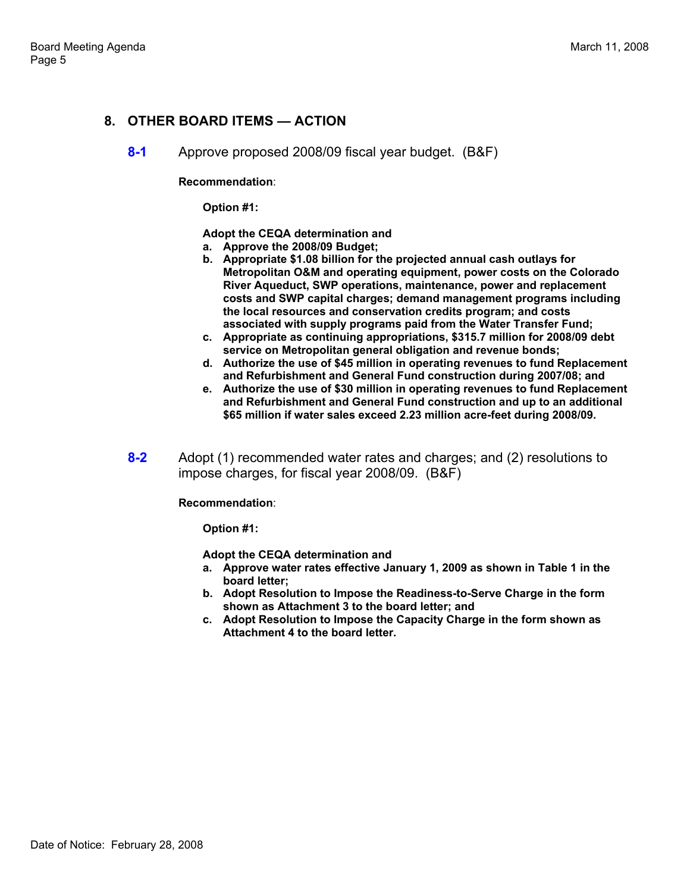### **8. OTHER BOARD ITEMS — ACTION**

**8-1** Approve proposed 2008/09 fiscal year budget. (B&F)

**Recommendation**:

**Option #1:** 

**Adopt the CEQA determination and** 

- **a. Approve the 2008/09 Budget;**
- **b. Appropriate \$1.08 billion for the projected annual cash outlays for Metropolitan O&M and operating equipment, power costs on the Colorado River Aqueduct, SWP operations, maintenance, power and replacement costs and SWP capital charges; demand management programs including the local resources and conservation credits program; and costs associated with supply programs paid from the Water Transfer Fund;**
- **c. Appropriate as continuing appropriations, \$315.7 million for 2008/09 debt service on Metropolitan general obligation and revenue bonds;**
- **d. Authorize the use of \$45 million in operating revenues to fund Replacement and Refurbishment and General Fund construction during 2007/08; and**
- **e. Authorize the use of \$30 million in operating revenues to fund Replacement and Refurbishment and General Fund construction and up to an additional \$65 million if water sales exceed 2.23 million acre-feet during 2008/09.**
- **8-2** Adopt (1) recommended water rates and charges; and (2) resolutions to impose charges, for fiscal year 2008/09. (B&F)

**Recommendation**:

**Option #1:** 

**Adopt the CEQA determination and** 

- **a. Approve water rates effective January 1, 2009 as shown in Table 1 in the board letter;**
- **b. Adopt Resolution to Impose the Readiness-to-Serve Charge in the form shown as Attachment 3 to the board letter; and**
- **c. Adopt Resolution to Impose the Capacity Charge in the form shown as Attachment 4 to the board letter.**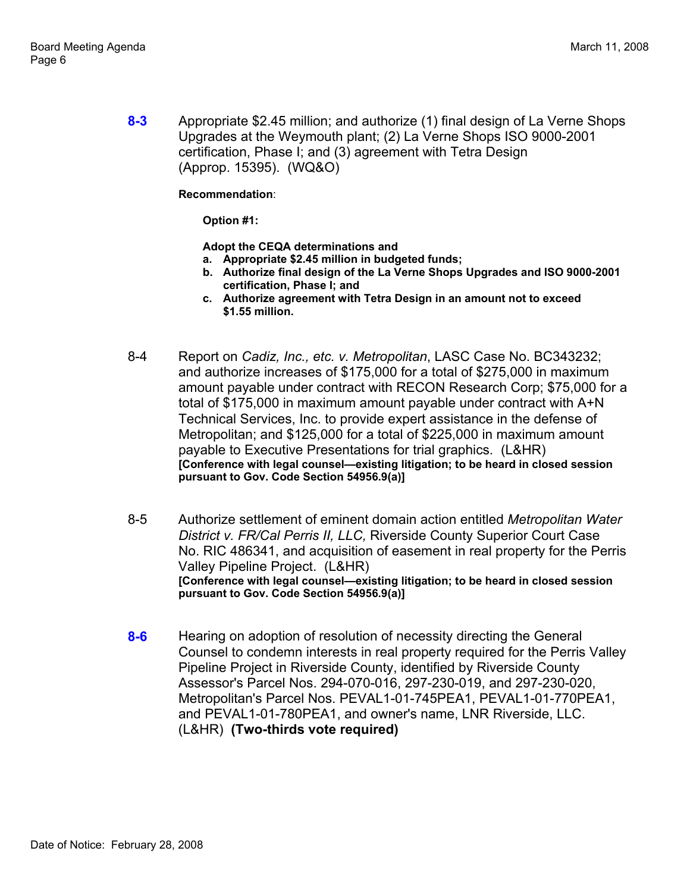**8-3** Appropriate \$2.45 million; and authorize (1) final design of La Verne Shops Upgrades at the Weymouth plant; (2) La Verne Shops ISO 9000-2001 certification, Phase I; and (3) agreement with Tetra Design (Approp. 15395). (WQ&O)

**Recommendation**:

**Option #1:** 

**Adopt the CEQA determinations and** 

- **a. Appropriate \$2.45 million in budgeted funds;**
- **b. Authorize final design of the La Verne Shops Upgrades and ISO 9000-2001 certification, Phase I; and**
- **c. Authorize agreement with Tetra Design in an amount not to exceed \$1.55 million.**
- 8-4 Report on *Cadiz, Inc., etc. v. Metropolitan*, LASC Case No. BC343232; and authorize increases of \$175,000 for a total of \$275,000 in maximum amount payable under contract with RECON Research Corp; \$75,000 for a total of \$175,000 in maximum amount payable under contract with A+N Technical Services, Inc. to provide expert assistance in the defense of Metropolitan; and \$125,000 for a total of \$225,000 in maximum amount payable to Executive Presentations for trial graphics. (L&HR) **[Conference with legal counsel—existing litigation; to be heard in closed session pursuant to Gov. Code Section 54956.9(a)]**
- 8-5 Authorize settlement of eminent domain action entitled *Metropolitan Water District v. FR/Cal Perris II, LLC,* Riverside County Superior Court Case No. RIC 486341, and acquisition of easement in real property for the Perris Valley Pipeline Project. (L&HR) **[Conference with legal counsel—existing litigation; to be heard in closed session pursuant to Gov. Code Section 54956.9(a)]**
- **8-6** Hearing on adoption of resolution of necessity directing the General Counsel to condemn interests in real property required for the Perris Valley Pipeline Project in Riverside County, identified by Riverside County Assessor's Parcel Nos. 294-070-016, 297-230-019, and 297-230-020, Metropolitan's Parcel Nos. PEVAL1-01-745PEA1, PEVAL1-01-770PEA1, and PEVAL1-01-780PEA1, and owner's name, LNR Riverside, LLC. (L&HR) **(Two-thirds vote required)**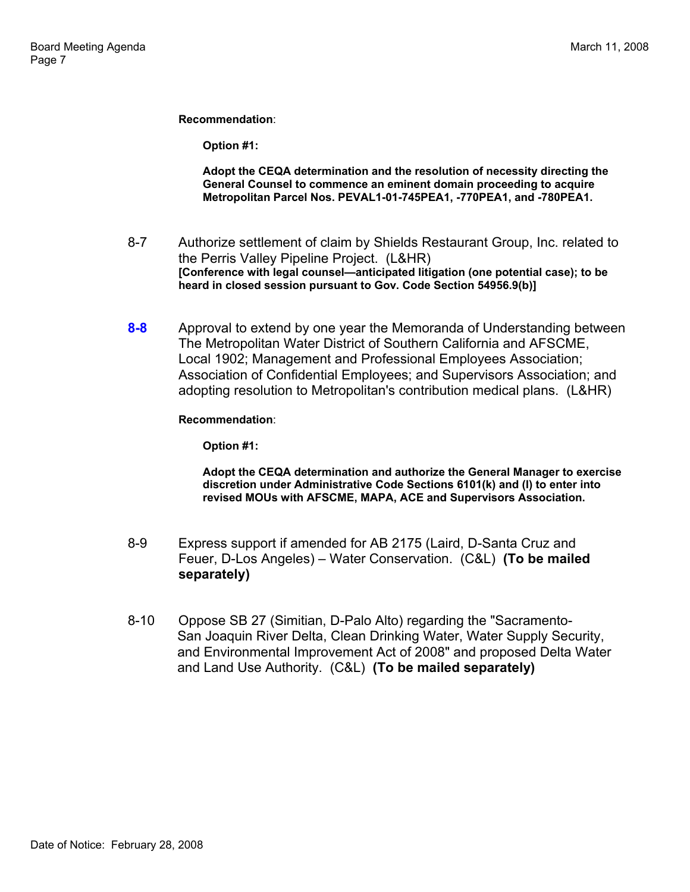**Recommendation**:

**Option #1:** 

**Adopt the CEQA determination and the resolution of necessity directing the General Counsel to commence an eminent domain proceeding to acquire Metropolitan Parcel Nos. PEVAL1-01-745PEA1, -770PEA1, and -780PEA1.** 

- 8-7 Authorize settlement of claim by Shields Restaurant Group, Inc. related to the Perris Valley Pipeline Project. (L&HR) **[Conference with legal counsel—anticipated litigation (one potential case); to be heard in closed session pursuant to Gov. Code Section 54956.9(b)]**
- **8-8** Approval to extend by one year the Memoranda of Understanding between The Metropolitan Water District of Southern California and AFSCME, Local 1902; Management and Professional Employees Association; Association of Confidential Employees; and Supervisors Association; and adopting resolution to Metropolitan's contribution medical plans. (L&HR)

#### **Recommendation**:

**Option #1:** 

**Adopt the CEQA determination and authorize the General Manager to exercise discretion under Administrative Code Sections 6101(k) and (l) to enter into revised MOUs with AFSCME, MAPA, ACE and Supervisors Association.** 

- 8-9 Express support if amended for AB 2175 (Laird, D-Santa Cruz and Feuer, D-Los Angeles) – Water Conservation. (C&L) **(To be mailed separately)**
- 8-10 Oppose SB 27 (Simitian, D-Palo Alto) regarding the "Sacramento-San Joaquin River Delta, Clean Drinking Water, Water Supply Security, and Environmental Improvement Act of 2008" and proposed Delta Water and Land Use Authority. (C&L) **(To be mailed separately)**